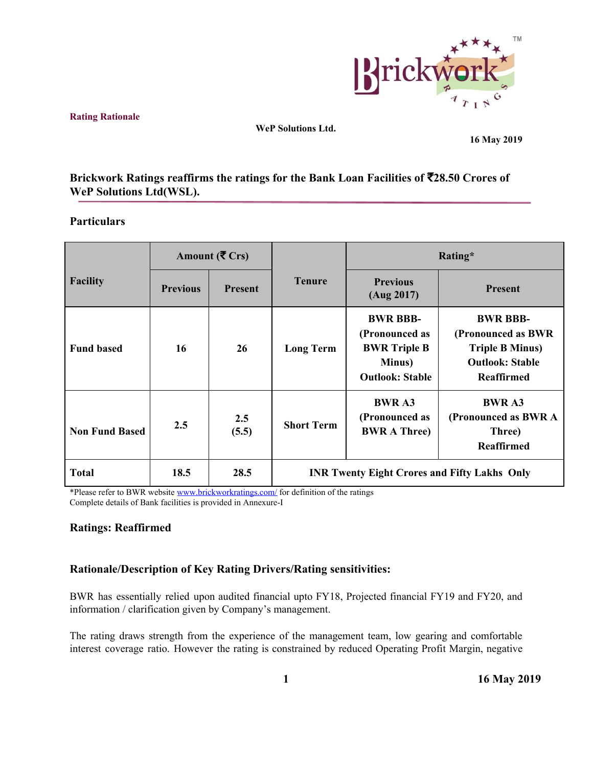

**Rating Rationale**

**WeP Solutions Ltd.**

**16 May 2019**

# **Brickwork Ratings reaffirms the ratings for the Bank Loan Facilities of** ₹**28.50 Crores of WeP Solutions Ltd(WSL).**

## **Particulars**

|                       |                 | Amount ( $\bar{\mathbf{\mathsf{F}}}$ Crs) |                                                     | Rating*                                                                                      |                                                                                                                |  |
|-----------------------|-----------------|-------------------------------------------|-----------------------------------------------------|----------------------------------------------------------------------------------------------|----------------------------------------------------------------------------------------------------------------|--|
| <b>Facility</b>       | <b>Previous</b> | <b>Present</b>                            | <b>Tenure</b>                                       | <b>Previous</b><br>(Aug 2017)                                                                | <b>Present</b>                                                                                                 |  |
| <b>Fund based</b>     | 16              | 26                                        | <b>Long Term</b>                                    | <b>BWR BBB-</b><br>(Pronounced as<br><b>BWR Triple B</b><br>Minus)<br><b>Outlook: Stable</b> | <b>BWR BBB-</b><br>(Pronounced as BWR<br><b>Triple B Minus)</b><br><b>Outlook: Stable</b><br><b>Reaffirmed</b> |  |
| <b>Non Fund Based</b> | 2.5             | 2.5<br>(5.5)                              | <b>Short Term</b>                                   | <b>BWR A3</b><br>(Pronounced as<br><b>BWR A Three)</b>                                       | <b>BWR A3</b><br>(Pronounced as BWR A<br>Three)<br><b>Reaffirmed</b>                                           |  |
| <b>Total</b>          | 18.5            | 28.5                                      | <b>INR Twenty Eight Crores and Fifty Lakhs Only</b> |                                                                                              |                                                                                                                |  |

\*Please refer to BWR website [www.brickworkratings.com/](http://www.brickworkratings.com/) for definition of the ratings Complete details of Bank facilities is provided in Annexure-I

## **Ratings: Reaffirmed**

## **Rationale/Description of Key Rating Drivers/Rating sensitivities:**

BWR has essentially relied upon audited financial upto FY18, Projected financial FY19 and FY20, and information / clarification given by Company's management.

The rating draws strength from the experience of the management team, low gearing and comfortable interest coverage ratio. However the rating is constrained by reduced Operating Profit Margin, negative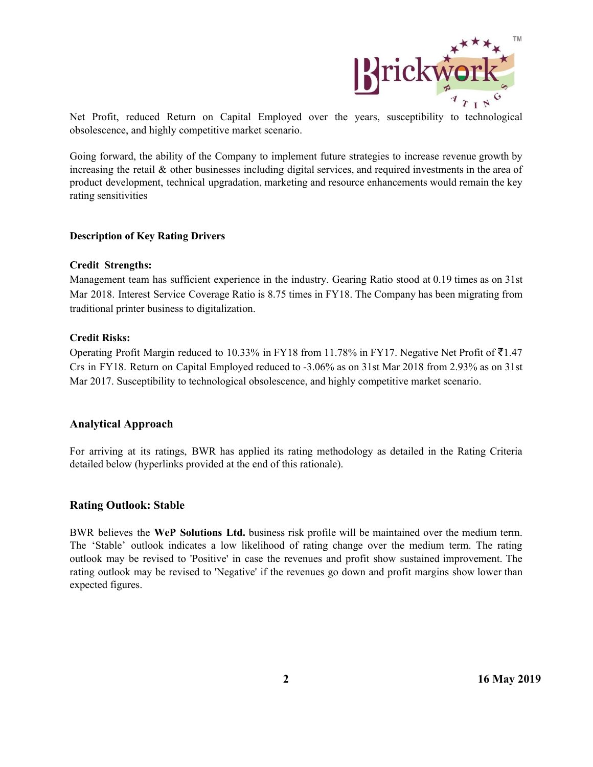

Net Profit, reduced Return on Capital Employed over the years, susceptibility to technological obsolescence, and highly competitive market scenario.

Going forward, the ability of the Company to implement future strategies to increase revenue growth by increasing the retail & other businesses including digital services, and required investments in the area of product development, technical upgradation, marketing and resource enhancements would remain the key rating sensitivities

#### **Description of Key Rating Drivers**

#### **Credit Strengths:**

Management team has sufficient experience in the industry. Gearing Ratio stood at 0.19 times as on 31st Mar 2018. Interest Service Coverage Ratio is 8.75 times in FY18. The Company has been migrating from traditional printer business to digitalization.

#### **Credit Risks:**

Operating Profit Margin reduced to 10.33% in FY18 from 11.78% in FY17. Negative Net Profit of  $\bar{\bar{\tau}}$ 1.47 Crs in FY18. Return on Capital Employed reduced to -3.06% as on 31st Mar 2018 from 2.93% as on 31st Mar 2017. Susceptibility to technological obsolescence, and highly competitive market scenario.

#### **Analytical Approach**

For arriving at its ratings, BWR has applied its rating methodology as detailed in the Rating Criteria detailed below (hyperlinks provided at the end of this rationale).

#### **Rating Outlook: Stable**

BWR believes the **WeP Solutions Ltd.** business risk profile will be maintained over the medium term. The 'Stable' outlook indicates a low likelihood of rating change over the medium term. The rating outlook may be revised to 'Positive' in case the revenues and profit show sustained improvement. The rating outlook may be revised to 'Negative' if the revenues go down and profit margins show lower than expected figures.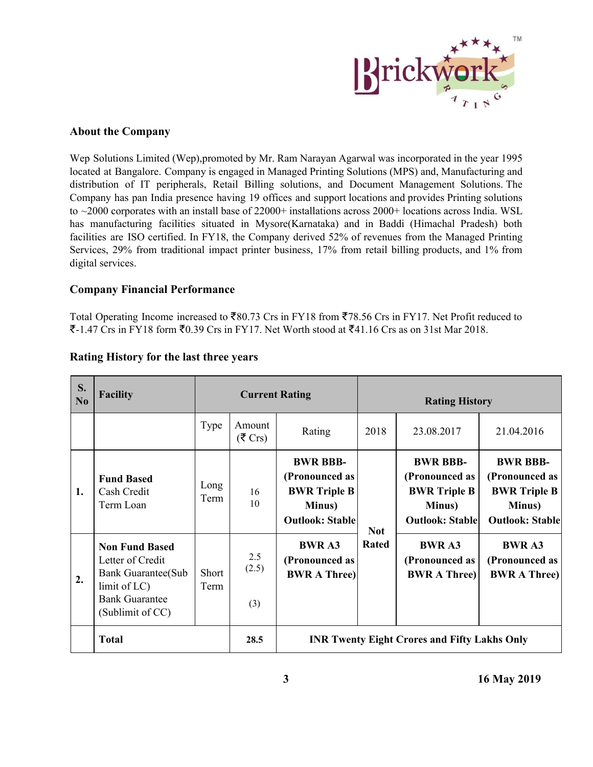

## **About the Company**

Wep Solutions Limited (Wep),promoted by Mr. Ram Narayan Agarwal was incorporated in the year 1995 located at Bangalore. Company is engaged in Managed Printing Solutions (MPS) and, Manufacturing and distribution of IT peripherals, Retail Billing solutions, and Document Management Solutions. The Company has pan India presence having 19 offices and support locations and provides Printing solutions to ~2000 corporates with an install base of 22000+ installations across 2000+ locations across India. WSL has manufacturing facilities situated in Mysore(Karnataka) and in Baddi (Himachal Pradesh) both facilities are ISO certified. In FY18, the Company derived 52% of revenues from the Managed Printing Services, 29% from traditional impact printer business, 17% from retail billing products, and 1% from digital services.

#### **Company Financial Performance**

Total Operating Income increased to ₹80.73 Crs in FY18 from ₹78.56 Crs in FY17. Net Profit reduced to ₹-1.47 Crs in FY18 form ₹0.39 Crs in FY17. Net Worth stood at ₹41.16 Crs as on 31st Mar 2018.

| S.<br>No | <b>Facility</b>                                                                                                                      |               | <b>Current Rating</b>       |                                                                                              | <b>Rating History</b> |                                                                                              |                                                                                              |
|----------|--------------------------------------------------------------------------------------------------------------------------------------|---------------|-----------------------------|----------------------------------------------------------------------------------------------|-----------------------|----------------------------------------------------------------------------------------------|----------------------------------------------------------------------------------------------|
|          |                                                                                                                                      | Type          | Amount<br>$(5 \text{ Crs})$ | Rating                                                                                       | 2018                  | 23.08.2017                                                                                   | 21.04.2016                                                                                   |
| 1.       | <b>Fund Based</b><br>Cash Credit<br>Term Loan                                                                                        | Long<br>Term  | 16<br>10                    | <b>BWR BBB-</b><br>(Pronounced as<br><b>BWR Triple B</b><br>Minus)<br><b>Outlook: Stable</b> | <b>Not</b>            | <b>BWR BBB-</b><br>(Pronounced as<br><b>BWR Triple B</b><br>Minus)<br><b>Outlook: Stable</b> | <b>BWR BBB-</b><br>(Pronounced as<br><b>BWR Triple B</b><br>Minus)<br><b>Outlook: Stable</b> |
| 2.       | <b>Non Fund Based</b><br>Letter of Credit<br><b>Bank Guarantee (Sub</b><br>limit of LC)<br><b>Bank Guarantee</b><br>(Sublimit of CC) | Short<br>Term | 2.5<br>(2.5)<br>(3)         | <b>BWR A3</b><br>(Pronounced as<br><b>BWR A Three)</b>                                       | <b>Rated</b>          | <b>BWR A3</b><br>(Pronounced as<br><b>BWR A Three)</b>                                       | <b>BWR A3</b><br>(Pronounced as<br><b>BWR A Three)</b>                                       |
|          | <b>Total</b>                                                                                                                         |               | 28.5                        | <b>INR Twenty Eight Crores and Fifty Lakhs Only</b>                                          |                       |                                                                                              |                                                                                              |

## **Rating History for the last three years**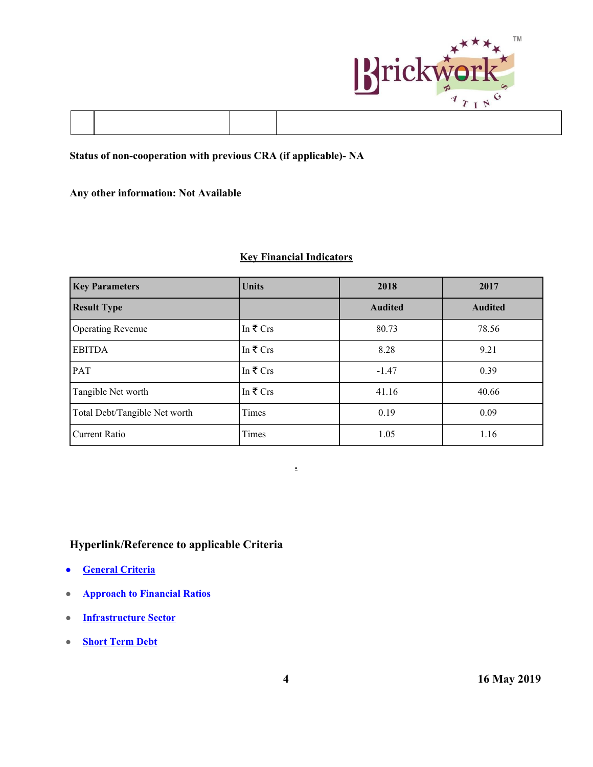

# **Status of non-cooperation with previous CRA (if applicable)- NA**

## **Any other information: Not Available**

# **Key Financial Indicators**

| <b>Key Parameters</b>         | <b>Units</b>        | 2018           | 2017           |
|-------------------------------|---------------------|----------------|----------------|
| <b>Result Type</b>            |                     | <b>Audited</b> | <b>Audited</b> |
| <b>Operating Revenue</b>      | In $\bar{\tau}$ Crs | 80.73          | 78.56          |
| <b>EBITDA</b>                 | In $\bar{\tau}$ Crs | 8.28           | 9.21           |
| <b>PAT</b>                    | In $\bar{\tau}$ Crs | $-1.47$        | 0.39           |
| Tangible Net worth            | In $\bar{\tau}$ Crs | 41.16          | 40.66          |
| Total Debt/Tangible Net worth | Times               | 0.19           | 0.09           |
| <b>Current Ratio</b>          | Times               | 1.05           | 1.16           |

**.**

# **Hyperlink/Reference to applicable Criteria**

- **● [General Criteria](http://www.brickworkratings.com/download/Criteria-GeneralCriteria.pdf)**
- **[Approach to Financial Ratios](http://www.brickworkratings.com/download/Criteria-FinancialRatios.pdf)**
- **● [Infrastructure Sector](http://www.brickworkratings.com/download/Criteria-Infrastructure.pdf)**
- **● [Short Term Debt](http://www.brickworkratings.com/download/Criteria-ShortTermDebt.pdf)**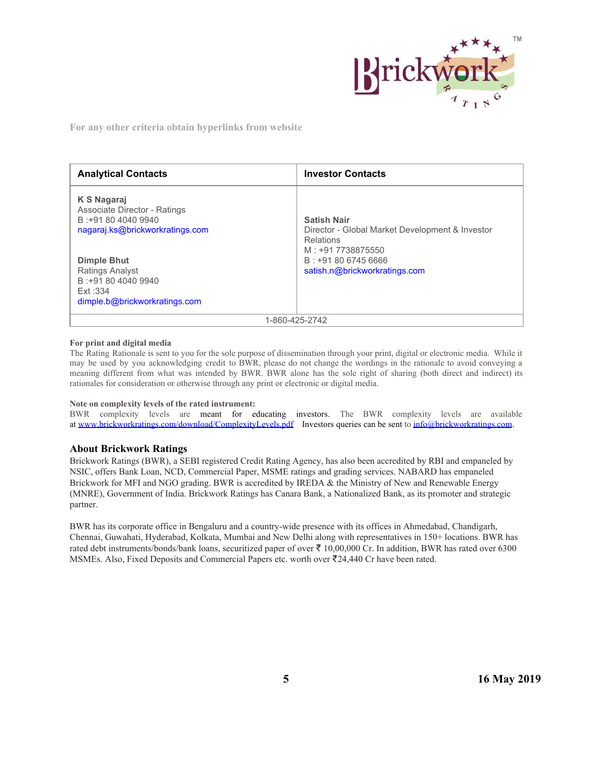

**For any other criteria obtain hyperlinks from website**

| <b>Analytical Contacts</b>                                                                                                                                                   | <b>Investor Contacts</b>                                                                                                                                               |  |  |
|------------------------------------------------------------------------------------------------------------------------------------------------------------------------------|------------------------------------------------------------------------------------------------------------------------------------------------------------------------|--|--|
| K S Nagaraj<br>Associate Director - Ratings<br>B: +91 80 4040 9940<br>nagaraj.ks@brickworkratings.com<br><b>Dimple Bhut</b><br><b>Ratings Analyst</b><br>B: +91 80 4040 9940 | <b>Satish Nair</b><br>Director - Global Market Development & Investor<br><b>Relations</b><br>M: +91 7738875550<br>B: +91 80 6745 6666<br>satish.n@brickworkratings.com |  |  |
| Fxt: 334<br>dimple.b@brickworkratings.com                                                                                                                                    |                                                                                                                                                                        |  |  |
| 1-860-425-2742                                                                                                                                                               |                                                                                                                                                                        |  |  |

#### **For print and digital media**

The Rating Rationale is sent to you for the sole purpose of dissemination through your print, digital or electronic media. While it may be used by you acknowledging credit to BWR, please do not change the wordings in the rationale to avoid conveying a meaning different from what was intended by BWR. BWR alone has the sole right of sharing (both direct and indirect) its rationales for consideration or otherwise through any print or electronic or digital media.

#### **Note on complexity levels of the rated instrument:**

BWR complexity levels are meant for educating investors. The BWR complexity levels are available at [www.brickworkratings.com/download/ComplexityLevels.pdf](http://www.brickworkratings.com/download/ComplexityLevels.pdf) Investors queries can be sent to [info@brickworkratings.com.](mailto:info@brickworkratings.com)

#### **About Brickwork Ratings**

Brickwork Ratings (BWR), a SEBI registered Credit Rating Agency, has also been accredited by RBI and empaneled by NSIC, offers Bank Loan, NCD, Commercial Paper, MSME ratings and grading services. NABARD has empaneled Brickwork for MFI and NGO grading. BWR is accredited by IREDA & the Ministry of New and Renewable Energy (MNRE), Government of India. Brickwork Ratings has Canara Bank, a Nationalized Bank, as its promoter and strategic partner.

BWR has its corporate office in Bengaluru and a country-wide presence with its offices in Ahmedabad, Chandigarh, Chennai, Guwahati, Hyderabad, Kolkata, Mumbai and New Delhi along with representatives in 150+ locations. BWR has rated debt instruments/bonds/bank loans, securitized paper of over ₹ 10,00,000 Cr. In addition, BWR has rated over 6300 MSMEs. Also, Fixed Deposits and Commercial Papers etc. worth over ₹24,440 Cr have been rated.